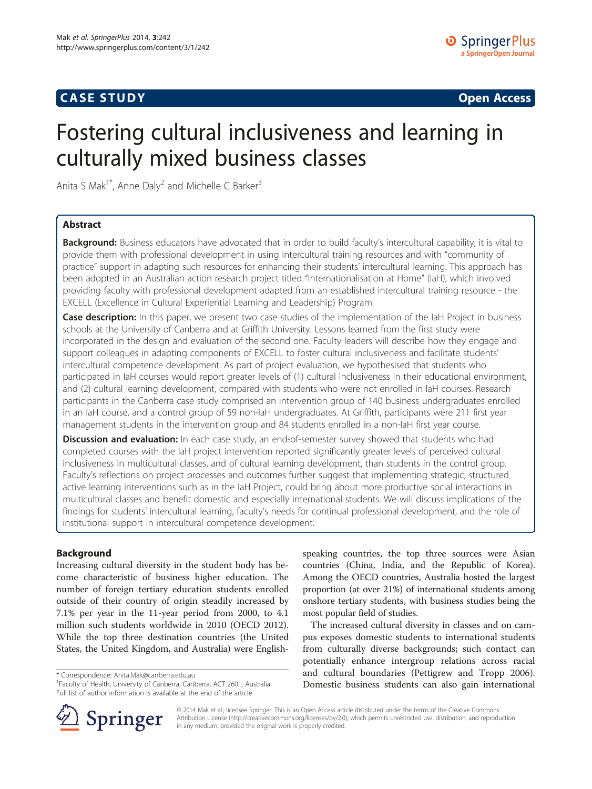# **CASE STUDY CASE STUDY Open Access**

# Fostering cultural inclusiveness and learning in culturally mixed business classes

Anita S Mak<sup>1\*</sup>, Anne Daly<sup>2</sup> and Michelle C Barker<sup>3</sup>

# Abstract

Background: Business educators have advocated that in order to build faculty's intercultural capability, it is vital to provide them with professional development in using intercultural training resources and with "community of practice" support in adapting such resources for enhancing their students' intercultural learning. This approach has been adopted in an Australian action research project titled "Internationalisation at Home" (IaH), which involved providing faculty with professional development adapted from an established intercultural training resource - the EXCELL (Excellence in Cultural Experiential Learning and Leadership) Program.

Case description: In this paper, we present two case studies of the implementation of the IaH Project in business schools at the University of Canberra and at Griffith University. Lessons learned from the first study were incorporated in the design and evaluation of the second one. Faculty leaders will describe how they engage and support colleagues in adapting components of EXCELL to foster cultural inclusiveness and facilitate students' intercultural competence development. As part of project evaluation, we hypothesised that students who participated in IaH courses would report greater levels of (1) cultural inclusiveness in their educational environment, and (2) cultural learning development, compared with students who were not enrolled in IaH courses. Research participants in the Canberra case study comprised an intervention group of 140 business undergraduates enrolled in an IaH course, and a control group of 59 non-IaH undergraduates. At Griffith, participants were 211 first year management students in the intervention group and 84 students enrolled in a non-IaH first year course.

**Discussion and evaluation:** In each case study, an end-of-semester survey showed that students who had completed courses with the IaH project intervention reported significantly greater levels of perceived cultural inclusiveness in multicultural classes, and of cultural learning development, than students in the control group. Faculty's reflections on project processes and outcomes further suggest that implementing strategic, structured active learning interventions such as in the IaH Project, could bring about more productive social interactions in multicultural classes and benefit domestic and especially international students. We will discuss implications of the findings for students' intercultural learning, faculty's needs for continual professional development, and the role of institutional support in intercultural competence development.

## Background

Increasing cultural diversity in the student body has become characteristic of business higher education. The number of foreign tertiary education students enrolled outside of their country of origin steadily increased by 7.1% per year in the 11-year period from 2000, to 4.1 million such students worldwide in 2010 (OECD [2012](#page-10-0)). While the top three destination countries (the United States, the United Kingdom, and Australia) were English-

\* Correspondence: [Anita.Mak@canberra.edu.au](mailto:Anita.Mak@canberra.edu.au) <sup>1</sup>



The increased cultural diversity in classes and on campus exposes domestic students to international students from culturally diverse backgrounds; such contact can potentially enhance intergroup relations across racial and cultural boundaries (Pettigrew and Tropp [2006](#page-10-0)). Domestic business students can also gain international



© 2014 Mak et al.; licensee Springer. This is an Open Access article distributed under the terms of the Creative Commons Attribution License [\(http://creativecommons.org/licenses/by/2.0\)](http://creativecommons.org/licenses/by/2.0), which permits unrestricted use, distribution, and reproduction in any medium, provided the original work is properly credited.

<sup>&</sup>lt;sup>1</sup> Faculty of Health, University of Canberra, Canberra, ACT 2601, Australia Full list of author information is available at the end of the article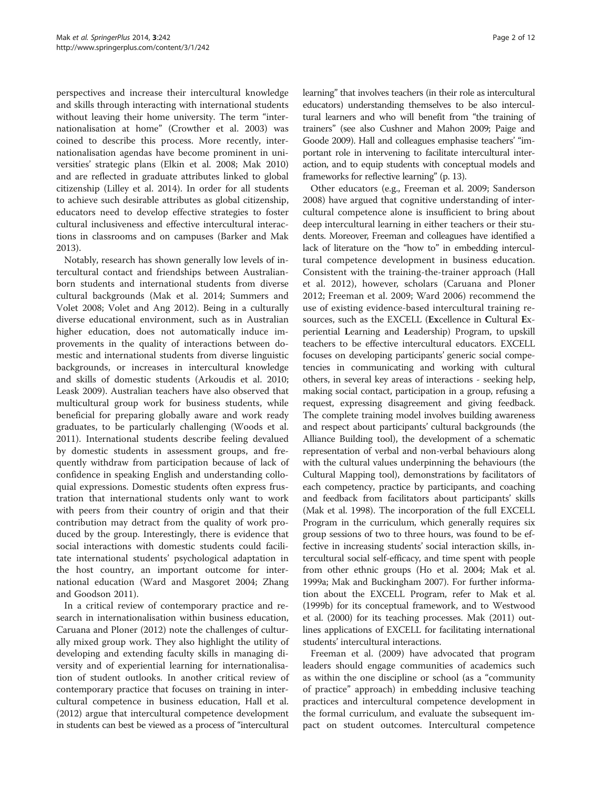perspectives and increase their intercultural knowledge and skills through interacting with international students without leaving their home university. The term "internationalisation at home" (Crowther et al. [2003](#page-10-0)) was coined to describe this process. More recently, internationalisation agendas have become prominent in universities' strategic plans (Elkin et al. [2008](#page-10-0); Mak [2010](#page-10-0)) and are reflected in graduate attributes linked to global citizenship (Lilley et al. [2014](#page-10-0)). In order for all students to achieve such desirable attributes as global citizenship, educators need to develop effective strategies to foster cultural inclusiveness and effective intercultural interactions in classrooms and on campuses (Barker and Mak [2013](#page-10-0)).

Notably, research has shown generally low levels of intercultural contact and friendships between Australianborn students and international students from diverse cultural backgrounds (Mak et al. [2014](#page-10-0); Summers and Volet [2008](#page-10-0); Volet and Ang [2012\)](#page-10-0). Being in a culturally diverse educational environment, such as in Australian higher education, does not automatically induce improvements in the quality of interactions between domestic and international students from diverse linguistic backgrounds, or increases in intercultural knowledge and skills of domestic students (Arkoudis et al. [2010](#page-10-0); Leask [2009\)](#page-10-0). Australian teachers have also observed that multicultural group work for business students, while beneficial for preparing globally aware and work ready graduates, to be particularly challenging (Woods et al. [2011](#page-11-0)). International students describe feeling devalued by domestic students in assessment groups, and frequently withdraw from participation because of lack of confidence in speaking English and understanding colloquial expressions. Domestic students often express frustration that international students only want to work with peers from their country of origin and that their contribution may detract from the quality of work produced by the group. Interestingly, there is evidence that social interactions with domestic students could facilitate international students' psychological adaptation in the host country, an important outcome for international education (Ward and Masgoret [2004;](#page-10-0) Zhang and Goodson [2011](#page-11-0)).

In a critical review of contemporary practice and research in internationalisation within business education, Caruana and Ploner ([2012](#page-10-0)) note the challenges of culturally mixed group work. They also highlight the utility of developing and extending faculty skills in managing diversity and of experiential learning for internationalisation of student outlooks. In another critical review of contemporary practice that focuses on training in intercultural competence in business education, Hall et al. ([2012](#page-10-0)) argue that intercultural competence development in students can best be viewed as a process of "intercultural learning" that involves teachers (in their role as intercultural educators) understanding themselves to be also intercultural learners and who will benefit from "the training of trainers" (see also Cushner and Mahon [2009;](#page-10-0) Paige and Goode [2009\)](#page-10-0). Hall and colleagues emphasise teachers' "important role in intervening to facilitate intercultural interaction, and to equip students with conceptual models and frameworks for reflective learning" (p. 13).

Other educators (e.g., Freeman et al. [2009](#page-10-0); Sanderson [2008](#page-10-0)) have argued that cognitive understanding of intercultural competence alone is insufficient to bring about deep intercultural learning in either teachers or their students. Moreover, Freeman and colleagues have identified a lack of literature on the "how to" in embedding intercultural competence development in business education. Consistent with the training-the-trainer approach (Hall et al. [2012](#page-10-0)), however, scholars (Caruana and Ploner [2012;](#page-10-0) Freeman et al. [2009](#page-10-0); Ward [2006\)](#page-10-0) recommend the use of existing evidence-based intercultural training resources, such as the EXCELL (Excellence in Cultural Experiential Learning and Leadership) Program, to upskill teachers to be effective intercultural educators. EXCELL focuses on developing participants' generic social competencies in communicating and working with cultural others, in several key areas of interactions - seeking help, making social contact, participation in a group, refusing a request, expressing disagreement and giving feedback. The complete training model involves building awareness and respect about participants' cultural backgrounds (the Alliance Building tool), the development of a schematic representation of verbal and non-verbal behaviours along with the cultural values underpinning the behaviours (the Cultural Mapping tool), demonstrations by facilitators of each competency, practice by participants, and coaching and feedback from facilitators about participants' skills (Mak et al. [1998](#page-10-0)). The incorporation of the full EXCELL Program in the curriculum, which generally requires six group sessions of two to three hours, was found to be effective in increasing students' social interaction skills, intercultural social self-efficacy, and time spent with people from other ethnic groups (Ho et al. [2004;](#page-10-0) Mak et al. [1999a](#page-10-0); Mak and Buckingham [2007](#page-10-0)). For further information about the EXCELL Program, refer to Mak et al. ([1999b](#page-10-0)) for its conceptual framework, and to Westwood et al. [\(2000\)](#page-10-0) for its teaching processes. Mak [\(2011\)](#page-10-0) outlines applications of EXCELL for facilitating international students' intercultural interactions.

Freeman et al. [\(2009\)](#page-10-0) have advocated that program leaders should engage communities of academics such as within the one discipline or school (as a "community of practice" approach) in embedding inclusive teaching practices and intercultural competence development in the formal curriculum, and evaluate the subsequent impact on student outcomes. Intercultural competence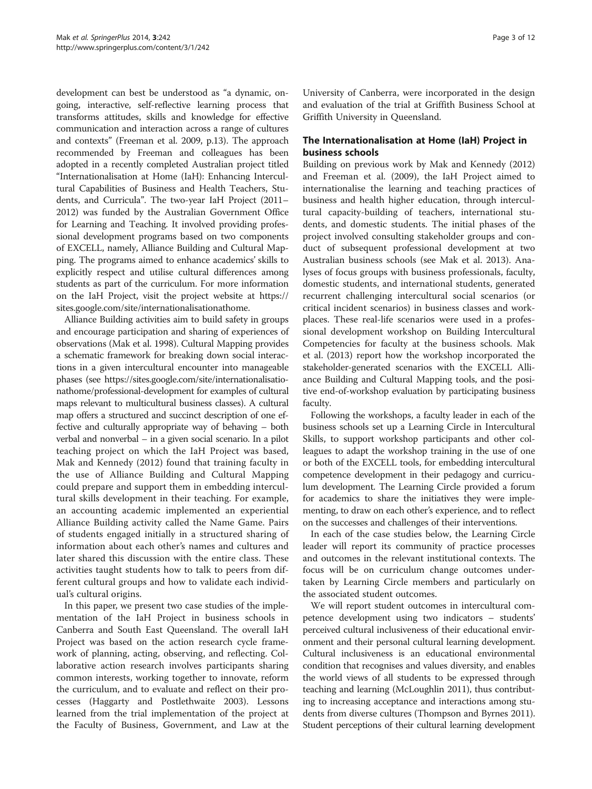development can best be understood as "a dynamic, ongoing, interactive, self-reflective learning process that transforms attitudes, skills and knowledge for effective communication and interaction across a range of cultures and contexts" (Freeman et al. [2009,](#page-10-0) p.13). The approach recommended by Freeman and colleagues has been adopted in a recently completed Australian project titled "Internationalisation at Home (IaH): Enhancing Intercultural Capabilities of Business and Health Teachers, Students, and Curricula". The two-year IaH Project (2011– 2012) was funded by the Australian Government Office for Learning and Teaching. It involved providing professional development programs based on two components of EXCELL, namely, Alliance Building and Cultural Mapping. The programs aimed to enhance academics' skills to explicitly respect and utilise cultural differences among students as part of the curriculum. For more information on the IaH Project, visit the project website at [https://](https://sites.google.com/site/internationalisationathome) [sites.google.com/site/internationalisationathome.](https://sites.google.com/site/internationalisationathome)

Alliance Building activities aim to build safety in groups and encourage participation and sharing of experiences of observations (Mak et al. [1998\)](#page-10-0). Cultural Mapping provides a schematic framework for breaking down social interactions in a given intercultural encounter into manageable phases (see [https://sites.google.com/site/internationalisatio](https://sites.google.com/site/internationalisationathome/professional-development)[nathome/professional-development](https://sites.google.com/site/internationalisationathome/professional-development) for examples of cultural maps relevant to multicultural business classes). A cultural map offers a structured and succinct description of one effective and culturally appropriate way of behaving – both verbal and nonverbal – in a given social scenario. In a pilot teaching project on which the IaH Project was based, Mak and Kennedy ([2012\)](#page-10-0) found that training faculty in the use of Alliance Building and Cultural Mapping could prepare and support them in embedding intercultural skills development in their teaching. For example, an accounting academic implemented an experiential Alliance Building activity called the Name Game. Pairs of students engaged initially in a structured sharing of information about each other's names and cultures and later shared this discussion with the entire class. These activities taught students how to talk to peers from different cultural groups and how to validate each individual's cultural origins.

In this paper, we present two case studies of the implementation of the IaH Project in business schools in Canberra and South East Queensland. The overall IaH Project was based on the action research cycle framework of planning, acting, observing, and reflecting. Collaborative action research involves participants sharing common interests, working together to innovate, reform the curriculum, and to evaluate and reflect on their processes (Haggarty and Postlethwaite [2003\)](#page-10-0). Lessons learned from the trial implementation of the project at the Faculty of Business, Government, and Law at the University of Canberra, were incorporated in the design and evaluation of the trial at Griffith Business School at Griffith University in Queensland.

# The Internationalisation at Home (IaH) Project in business schools

Building on previous work by Mak and Kennedy ([2012](#page-10-0)) and Freeman et al. ([2009](#page-10-0)), the IaH Project aimed to internationalise the learning and teaching practices of business and health higher education, through intercultural capacity-building of teachers, international students, and domestic students. The initial phases of the project involved consulting stakeholder groups and conduct of subsequent professional development at two Australian business schools (see Mak et al. [2013\)](#page-10-0). Analyses of focus groups with business professionals, faculty, domestic students, and international students, generated recurrent challenging intercultural social scenarios (or critical incident scenarios) in business classes and workplaces. These real-life scenarios were used in a professional development workshop on Building Intercultural Competencies for faculty at the business schools. Mak et al. [\(2013\)](#page-10-0) report how the workshop incorporated the stakeholder-generated scenarios with the EXCELL Alliance Building and Cultural Mapping tools, and the positive end-of-workshop evaluation by participating business faculty.

Following the workshops, a faculty leader in each of the business schools set up a Learning Circle in Intercultural Skills, to support workshop participants and other colleagues to adapt the workshop training in the use of one or both of the EXCELL tools, for embedding intercultural competence development in their pedagogy and curriculum development. The Learning Circle provided a forum for academics to share the initiatives they were implementing, to draw on each other's experience, and to reflect on the successes and challenges of their interventions.

In each of the case studies below, the Learning Circle leader will report its community of practice processes and outcomes in the relevant institutional contexts. The focus will be on curriculum change outcomes undertaken by Learning Circle members and particularly on the associated student outcomes.

We will report student outcomes in intercultural competence development using two indicators – students' perceived cultural inclusiveness of their educational environment and their personal cultural learning development. Cultural inclusiveness is an educational environmental condition that recognises and values diversity, and enables the world views of all students to be expressed through teaching and learning (McLoughlin [2011](#page-10-0)), thus contributing to increasing acceptance and interactions among students from diverse cultures (Thompson and Byrnes [2011](#page-10-0)). Student perceptions of their cultural learning development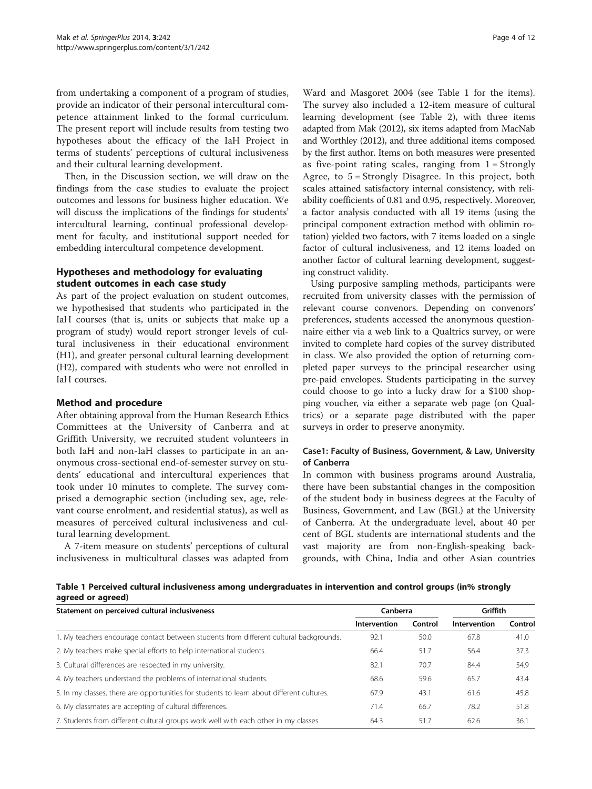<span id="page-3-0"></span>from undertaking a component of a program of studies, provide an indicator of their personal intercultural competence attainment linked to the formal curriculum. The present report will include results from testing two hypotheses about the efficacy of the IaH Project in terms of students' perceptions of cultural inclusiveness and their cultural learning development.

Then, in the [Discussion](#page-8-0) section, we will draw on the findings from the case studies to evaluate the project outcomes and lessons for business higher education. We will discuss the implications of the findings for students' intercultural learning, continual professional development for faculty, and institutional support needed for embedding intercultural competence development.

# Hypotheses and methodology for evaluating student outcomes in each case study

As part of the project evaluation on student outcomes, we hypothesised that students who participated in the IaH courses (that is, units or subjects that make up a program of study) would report stronger levels of cultural inclusiveness in their educational environment (H1), and greater personal cultural learning development (H2), compared with students who were not enrolled in IaH courses.

## Method and procedure

After obtaining approval from the Human Research Ethics Committees at the University of Canberra and at Griffith University, we recruited student volunteers in both IaH and non-IaH classes to participate in an anonymous cross-sectional end-of-semester survey on students' educational and intercultural experiences that took under 10 minutes to complete. The survey comprised a demographic section (including sex, age, relevant course enrolment, and residential status), as well as measures of perceived cultural inclusiveness and cultural learning development.

A 7-item measure on students' perceptions of cultural inclusiveness in multicultural classes was adapted from

Ward and Masgoret [2004](#page-10-0) (see Table 1 for the items). The survey also included a 12-item measure of cultural learning development (see Table [2](#page-4-0)), with three items adapted from Mak [\(2012](#page-10-0)), six items adapted from MacNab and Worthley [\(2012](#page-10-0)), and three additional items composed by the first author. Items on both measures were presented as five-point rating scales, ranging from  $1 =$  Strongly Agree, to 5 = Strongly Disagree. In this project, both scales attained satisfactory internal consistency, with reliability coefficients of 0.81 and 0.95, respectively. Moreover, a factor analysis conducted with all 19 items (using the principal component extraction method with oblimin rotation) yielded two factors, with 7 items loaded on a single factor of cultural inclusiveness, and 12 items loaded on another factor of cultural learning development, suggesting construct validity.

Using purposive sampling methods, participants were recruited from university classes with the permission of relevant course convenors. Depending on convenors' preferences, students accessed the anonymous questionnaire either via a web link to a Qualtrics survey, or were invited to complete hard copies of the survey distributed in class. We also provided the option of returning completed paper surveys to the principal researcher using pre-paid envelopes. Students participating in the survey could choose to go into a lucky draw for a \$100 shopping voucher, via either a separate web page (on Qualtrics) or a separate page distributed with the paper surveys in order to preserve anonymity.

## Case1: Faculty of Business, Government, & Law, University of Canberra

In common with business programs around Australia, there have been substantial changes in the composition of the student body in business degrees at the Faculty of Business, Government, and Law (BGL) at the University of Canberra. At the undergraduate level, about 40 per cent of BGL students are international students and the vast majority are from non-English-speaking backgrounds, with China, India and other Asian countries

Table 1 Perceived cultural inclusiveness among undergraduates in intervention and control groups (in% strongly agreed or agreed)

| Statement on perceived cultural inclusiveness                                             | Canberra     |         | Griffith     |         |
|-------------------------------------------------------------------------------------------|--------------|---------|--------------|---------|
|                                                                                           | Intervention | Control | Intervention | Control |
| 1. My teachers encourage contact between students from different cultural backgrounds.    | 92.1         | 50.0    | 67.8         | 41.0    |
| 2. My teachers make special efforts to help international students.                       | 66.4         | 51.7    | 56.4         | 37.3    |
| 3. Cultural differences are respected in my university.                                   | 82.1         | 70.7    | 84.4         | 54.9    |
| 4. My teachers understand the problems of international students.                         | 68.6         | 59.6    | 65.7         | 43.4    |
| 5. In my classes, there are opportunities for students to learn about different cultures. | 67.9         | 43.1    | 61.6         | 45.8    |
| 6. My classmates are accepting of cultural differences.                                   | 71.4         | 66.7    | 78.2         | 51.8    |
| 7. Students from different cultural groups work well with each other in my classes.       | 64.3         | 51.7    | 62.6         | 36.1    |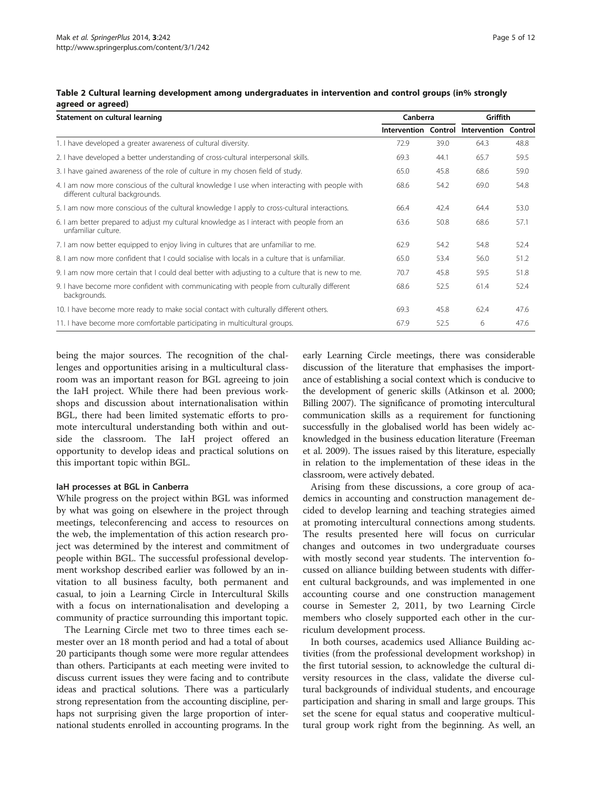| Statement on cultural learning                                                                                                  | Canberra |      | Griffith                                  |      |
|---------------------------------------------------------------------------------------------------------------------------------|----------|------|-------------------------------------------|------|
|                                                                                                                                 |          |      | Intervention Control Intervention Control |      |
| 1. I have developed a greater awareness of cultural diversity.                                                                  | 72.9     | 39.0 | 64.3                                      | 48.8 |
| 2. I have developed a better understanding of cross-cultural interpersonal skills.                                              | 69.3     | 44.1 | 65.7                                      | 59.5 |
| 3. I have gained awareness of the role of culture in my chosen field of study.                                                  | 65.0     | 45.8 | 68.6                                      | 59.0 |
| 4. I am now more conscious of the cultural knowledge I use when interacting with people with<br>different cultural backgrounds. | 68.6     | 54.2 | 69.0                                      | 54.8 |
| 5. I am now more conscious of the cultural knowledge I apply to cross-cultural interactions.                                    | 66.4     | 42.4 | 64.4                                      | 53.0 |
| 6. I am better prepared to adjust my cultural knowledge as I interact with people from an<br>unfamiliar culture.                | 63.6     | 50.8 | 68.6                                      | 57.1 |
| 7. I am now better equipped to enjoy living in cultures that are unfamiliar to me.                                              | 62.9     | 54.2 | 54.8                                      | 52.4 |
| 8. I am now more confident that I could socialise with locals in a culture that is unfamiliar.                                  | 65.0     | 53.4 | 56.0                                      | 51.2 |
| 9. I am now more certain that I could deal better with adjusting to a culture that is new to me.                                | 70.7     | 45.8 | 59.5                                      | 51.8 |
| 9. I have become more confident with communicating with people from culturally different<br>backgrounds.                        | 68.6     | 52.5 | 61.4                                      | 52.4 |
| 10. I have become more ready to make social contact with culturally different others.                                           | 69.3     | 45.8 | 62.4                                      | 47.6 |
| 11. I have become more comfortable participating in multicultural groups.                                                       | 67.9     | 52.5 | 6                                         | 47.6 |

#### <span id="page-4-0"></span>Table 2 Cultural learning development among undergraduates in intervention and control groups (in% strongly agreed or agreed)

being the major sources. The recognition of the challenges and opportunities arising in a multicultural classroom was an important reason for BGL agreeing to join the IaH project. While there had been previous workshops and discussion about internationalisation within BGL, there had been limited systematic efforts to promote intercultural understanding both within and outside the classroom. The IaH project offered an opportunity to develop ideas and practical solutions on this important topic within BGL.

#### IaH processes at BGL in Canberra

While progress on the project within BGL was informed by what was going on elsewhere in the project through meetings, teleconferencing and access to resources on the web, the implementation of this action research project was determined by the interest and commitment of people within BGL. The successful professional development workshop described earlier was followed by an invitation to all business faculty, both permanent and casual, to join a Learning Circle in Intercultural Skills with a focus on internationalisation and developing a community of practice surrounding this important topic.

The Learning Circle met two to three times each semester over an 18 month period and had a total of about 20 participants though some were more regular attendees than others. Participants at each meeting were invited to discuss current issues they were facing and to contribute ideas and practical solutions. There was a particularly strong representation from the accounting discipline, perhaps not surprising given the large proportion of international students enrolled in accounting programs. In the

early Learning Circle meetings, there was considerable discussion of the literature that emphasises the importance of establishing a social context which is conducive to the development of generic skills (Atkinson et al. [2000](#page-10-0); Billing [2007](#page-10-0)). The significance of promoting intercultural communication skills as a requirement for functioning successfully in the globalised world has been widely acknowledged in the business education literature (Freeman et al. [2009](#page-10-0)). The issues raised by this literature, especially in relation to the implementation of these ideas in the classroom, were actively debated.

Arising from these discussions, a core group of academics in accounting and construction management decided to develop learning and teaching strategies aimed at promoting intercultural connections among students. The results presented here will focus on curricular changes and outcomes in two undergraduate courses with mostly second year students. The intervention focussed on alliance building between students with different cultural backgrounds, and was implemented in one accounting course and one construction management course in Semester 2, 2011, by two Learning Circle members who closely supported each other in the curriculum development process.

In both courses, academics used Alliance Building activities (from the professional development workshop) in the first tutorial session, to acknowledge the cultural diversity resources in the class, validate the diverse cultural backgrounds of individual students, and encourage participation and sharing in small and large groups. This set the scene for equal status and cooperative multicultural group work right from the beginning. As well, an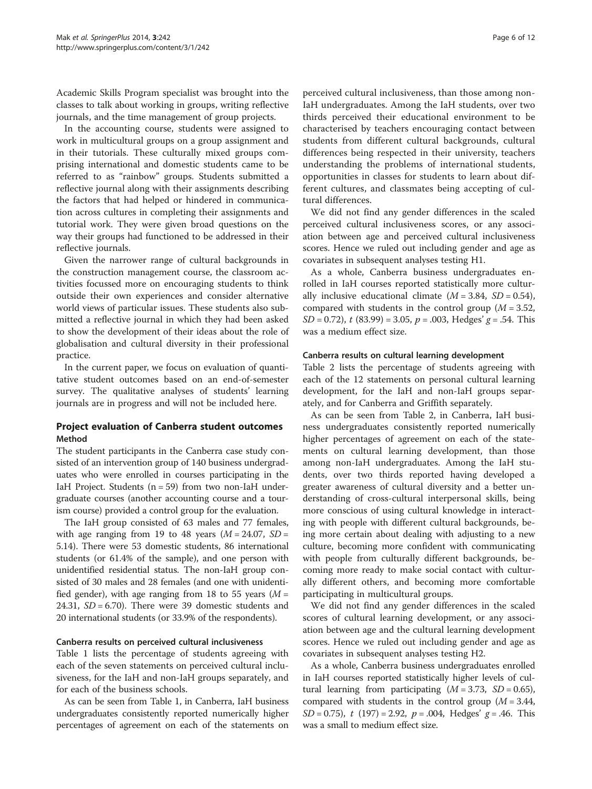Academic Skills Program specialist was brought into the classes to talk about working in groups, writing reflective journals, and the time management of group projects.

In the accounting course, students were assigned to work in multicultural groups on a group assignment and in their tutorials. These culturally mixed groups comprising international and domestic students came to be referred to as "rainbow" groups. Students submitted a reflective journal along with their assignments describing the factors that had helped or hindered in communication across cultures in completing their assignments and tutorial work. They were given broad questions on the way their groups had functioned to be addressed in their reflective journals.

Given the narrower range of cultural backgrounds in the construction management course, the classroom activities focussed more on encouraging students to think outside their own experiences and consider alternative world views of particular issues. These students also submitted a reflective journal in which they had been asked to show the development of their ideas about the role of globalisation and cultural diversity in their professional practice.

In the current paper, we focus on evaluation of quantitative student outcomes based on an end-of-semester survey. The qualitative analyses of students' learning journals are in progress and will not be included here.

# Project evaluation of Canberra student outcomes Method

The student participants in the Canberra case study consisted of an intervention group of 140 business undergraduates who were enrolled in courses participating in the IaH Project. Students  $(n = 59)$  from two non-IaH undergraduate courses (another accounting course and a tourism course) provided a control group for the evaluation.

The IaH group consisted of 63 males and 77 females, with age ranging from 19 to 48 years  $(M = 24.07, SD =$ 5.14). There were 53 domestic students, 86 international students (or 61.4% of the sample), and one person with unidentified residential status. The non-IaH group consisted of 30 males and 28 females (and one with unidentified gender), with age ranging from 18 to 55 years ( $M =$ 24.31,  $SD = 6.70$ ). There were 39 domestic students and 20 international students (or 33.9% of the respondents).

## Canberra results on perceived cultural inclusiveness

Table [1](#page-3-0) lists the percentage of students agreeing with each of the seven statements on perceived cultural inclusiveness, for the IaH and non-IaH groups separately, and for each of the business schools.

As can be seen from Table [1,](#page-3-0) in Canberra, IaH business undergraduates consistently reported numerically higher percentages of agreement on each of the statements on

perceived cultural inclusiveness, than those among non-IaH undergraduates. Among the IaH students, over two thirds perceived their educational environment to be characterised by teachers encouraging contact between students from different cultural backgrounds, cultural differences being respected in their university, teachers understanding the problems of international students, opportunities in classes for students to learn about different cultures, and classmates being accepting of cultural differences.

We did not find any gender differences in the scaled perceived cultural inclusiveness scores, or any association between age and perceived cultural inclusiveness scores. Hence we ruled out including gender and age as covariates in subsequent analyses testing H1.

As a whole, Canberra business undergraduates enrolled in IaH courses reported statistically more culturally inclusive educational climate  $(M = 3.84, SD = 0.54)$ , compared with students in the control group ( $M = 3.52$ ,  $SD = 0.72$ , t (83.99) = 3.05, p = .003, Hedges' g = .54. This was a medium effect size.

#### Canberra results on cultural learning development

Table [2](#page-4-0) lists the percentage of students agreeing with each of the 12 statements on personal cultural learning development, for the IaH and non-IaH groups separately, and for Canberra and Griffith separately.

As can be seen from Table [2,](#page-4-0) in Canberra, IaH business undergraduates consistently reported numerically higher percentages of agreement on each of the statements on cultural learning development, than those among non-IaH undergraduates. Among the IaH students, over two thirds reported having developed a greater awareness of cultural diversity and a better understanding of cross-cultural interpersonal skills, being more conscious of using cultural knowledge in interacting with people with different cultural backgrounds, being more certain about dealing with adjusting to a new culture, becoming more confident with communicating with people from culturally different backgrounds, becoming more ready to make social contact with culturally different others, and becoming more comfortable participating in multicultural groups.

We did not find any gender differences in the scaled scores of cultural learning development, or any association between age and the cultural learning development scores. Hence we ruled out including gender and age as covariates in subsequent analyses testing H2.

As a whole, Canberra business undergraduates enrolled in IaH courses reported statistically higher levels of cultural learning from participating  $(M = 3.73, SD = 0.65)$ , compared with students in the control group  $(M = 3.44,$  $SD = 0.75$ ), t (197) = 2.92, p = .004, Hedges' g = .46. This was a small to medium effect size.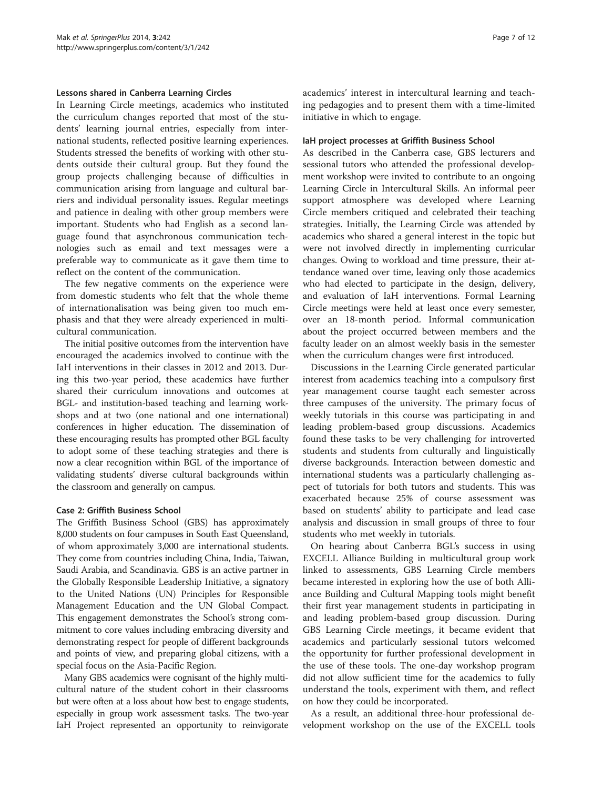#### Lessons shared in Canberra Learning Circles

In Learning Circle meetings, academics who instituted the curriculum changes reported that most of the students' learning journal entries, especially from international students, reflected positive learning experiences. Students stressed the benefits of working with other students outside their cultural group. But they found the group projects challenging because of difficulties in communication arising from language and cultural barriers and individual personality issues. Regular meetings and patience in dealing with other group members were important. Students who had English as a second language found that asynchronous communication technologies such as email and text messages were a preferable way to communicate as it gave them time to reflect on the content of the communication.

The few negative comments on the experience were from domestic students who felt that the whole theme of internationalisation was being given too much emphasis and that they were already experienced in multicultural communication.

The initial positive outcomes from the intervention have encouraged the academics involved to continue with the IaH interventions in their classes in 2012 and 2013. During this two-year period, these academics have further shared their curriculum innovations and outcomes at BGL- and institution-based teaching and learning workshops and at two (one national and one international) conferences in higher education. The dissemination of these encouraging results has prompted other BGL faculty to adopt some of these teaching strategies and there is now a clear recognition within BGL of the importance of validating students' diverse cultural backgrounds within the classroom and generally on campus.

#### Case 2: Griffith Business School

The Griffith Business School (GBS) has approximately 8,000 students on four campuses in South East Queensland, of whom approximately 3,000 are international students. They come from countries including China, India, Taiwan, Saudi Arabia, and Scandinavia. GBS is an active partner in the Globally Responsible Leadership Initiative, a signatory to the United Nations (UN) Principles for Responsible Management Education and the UN Global Compact. This engagement demonstrates the School's strong commitment to core values including embracing diversity and demonstrating respect for people of different backgrounds and points of view, and preparing global citizens, with a special focus on the Asia-Pacific Region.

Many GBS academics were cognisant of the highly multicultural nature of the student cohort in their classrooms but were often at a loss about how best to engage students, especially in group work assessment tasks. The two-year IaH Project represented an opportunity to reinvigorate

academics' interest in intercultural learning and teaching pedagogies and to present them with a time-limited initiative in which to engage.

#### IaH project processes at Griffith Business School

As described in the Canberra case, GBS lecturers and sessional tutors who attended the professional development workshop were invited to contribute to an ongoing Learning Circle in Intercultural Skills. An informal peer support atmosphere was developed where Learning Circle members critiqued and celebrated their teaching strategies. Initially, the Learning Circle was attended by academics who shared a general interest in the topic but were not involved directly in implementing curricular changes. Owing to workload and time pressure, their attendance waned over time, leaving only those academics who had elected to participate in the design, delivery, and evaluation of IaH interventions. Formal Learning Circle meetings were held at least once every semester, over an 18-month period. Informal communication about the project occurred between members and the faculty leader on an almost weekly basis in the semester when the curriculum changes were first introduced.

Discussions in the Learning Circle generated particular interest from academics teaching into a compulsory first year management course taught each semester across three campuses of the university. The primary focus of weekly tutorials in this course was participating in and leading problem-based group discussions. Academics found these tasks to be very challenging for introverted students and students from culturally and linguistically diverse backgrounds. Interaction between domestic and international students was a particularly challenging aspect of tutorials for both tutors and students. This was exacerbated because 25% of course assessment was based on students' ability to participate and lead case analysis and discussion in small groups of three to four students who met weekly in tutorials.

On hearing about Canberra BGL's success in using EXCELL Alliance Building in multicultural group work linked to assessments, GBS Learning Circle members became interested in exploring how the use of both Alliance Building and Cultural Mapping tools might benefit their first year management students in participating in and leading problem-based group discussion. During GBS Learning Circle meetings, it became evident that academics and particularly sessional tutors welcomed the opportunity for further professional development in the use of these tools. The one-day workshop program did not allow sufficient time for the academics to fully understand the tools, experiment with them, and reflect on how they could be incorporated.

As a result, an additional three-hour professional development workshop on the use of the EXCELL tools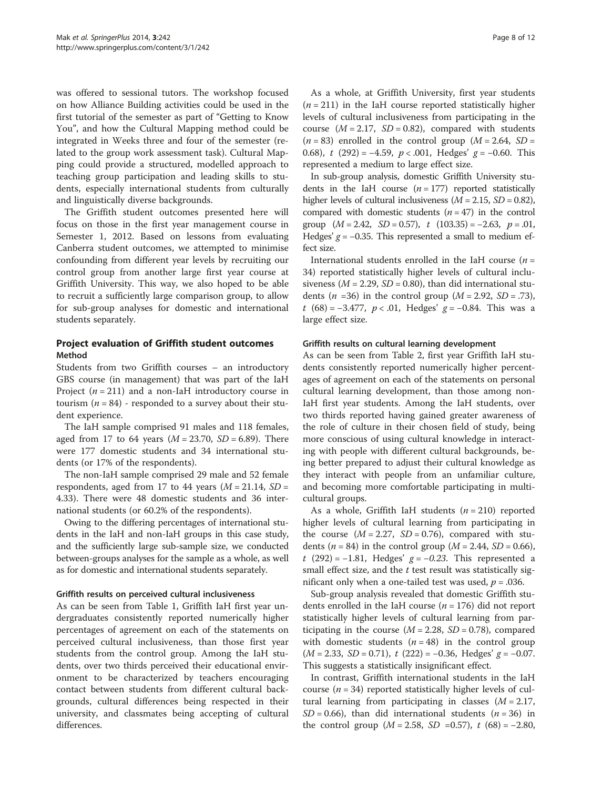was offered to sessional tutors. The workshop focused on how Alliance Building activities could be used in the first tutorial of the semester as part of "Getting to Know You", and how the Cultural Mapping method could be integrated in Weeks three and four of the semester (related to the group work assessment task). Cultural Mapping could provide a structured, modelled approach to teaching group participation and leading skills to students, especially international students from culturally and linguistically diverse backgrounds.

The Griffith student outcomes presented here will focus on those in the first year management course in Semester 1, 2012. Based on lessons from evaluating Canberra student outcomes, we attempted to minimise confounding from different year levels by recruiting our control group from another large first year course at Griffith University. This way, we also hoped to be able to recruit a sufficiently large comparison group, to allow for sub-group analyses for domestic and international students separately.

# Project evaluation of Griffith student outcomes Method

Students from two Griffith courses – an introductory GBS course (in management) that was part of the IaH Project  $(n = 211)$  and a non-IaH introductory course in tourism  $(n = 84)$  - responded to a survey about their student experience.

The IaH sample comprised 91 males and 118 females, aged from 17 to 64 years  $(M = 23.70, SD = 6.89)$ . There were 177 domestic students and 34 international students (or 17% of the respondents).

The non-IaH sample comprised 29 male and 52 female respondents, aged from 17 to 44 years  $(M = 21.14, SD =$ 4.33). There were 48 domestic students and 36 international students (or 60.2% of the respondents).

Owing to the differing percentages of international students in the IaH and non-IaH groups in this case study, and the sufficiently large sub-sample size, we conducted between-groups analyses for the sample as a whole, as well as for domestic and international students separately.

## Griffith results on perceived cultural inclusiveness

As can be seen from Table [1,](#page-3-0) Griffith IaH first year undergraduates consistently reported numerically higher percentages of agreement on each of the statements on perceived cultural inclusiveness, than those first year students from the control group. Among the IaH students, over two thirds perceived their educational environment to be characterized by teachers encouraging contact between students from different cultural backgrounds, cultural differences being respected in their university, and classmates being accepting of cultural differences.

As a whole, at Griffith University, first year students  $(n = 211)$  in the IaH course reported statistically higher levels of cultural inclusiveness from participating in the course  $(M = 2.17, SD = 0.82)$ , compared with students  $(n = 83)$  enrolled in the control group  $(M = 2.64, SD =$ 0.68),  $t$  (292) = -4.59,  $p < .001$ , Hedges'  $g = -0.60$ . This represented a medium to large effect size.

In sub-group analysis, domestic Griffith University students in the IaH course  $(n = 177)$  reported statistically higher levels of cultural inclusiveness  $(M = 2.15, SD = 0.82)$ , compared with domestic students  $(n = 47)$  in the control group  $(M = 2.42, SD = 0.57), t (103.35) = -2.63, p = .01,$ Hedges'  $g = -0.35$ . This represented a small to medium effect size.

International students enrolled in the IaH course  $(n =$ 34) reported statistically higher levels of cultural inclusiveness ( $M = 2.29$ ,  $SD = 0.80$ ), than did international students ( $n = 36$ ) in the control group ( $M = 2.92$ ,  $SD = .73$ ), t (68) =  $-3.477$ ,  $p < .01$ , Hedges'  $g = -0.84$ . This was a large effect size.

#### Griffith results on cultural learning development

As can be seen from Table [2,](#page-4-0) first year Griffith IaH students consistently reported numerically higher percentages of agreement on each of the statements on personal cultural learning development, than those among non-IaH first year students. Among the IaH students, over two thirds reported having gained greater awareness of the role of culture in their chosen field of study, being more conscious of using cultural knowledge in interacting with people with different cultural backgrounds, being better prepared to adjust their cultural knowledge as they interact with people from an unfamiliar culture, and becoming more comfortable participating in multicultural groups.

As a whole, Griffith IaH students  $(n = 210)$  reported higher levels of cultural learning from participating in the course  $(M = 2.27, SD = 0.76)$ , compared with students ( $n = 84$ ) in the control group ( $M = 2.44$ ,  $SD = 0.66$ ), t (292) =  $-1.81$ , Hedges'  $g = -0.23$ . This represented a small effect size, and the  $t$  test result was statistically significant only when a one-tailed test was used,  $p = .036$ .

Sub-group analysis revealed that domestic Griffith students enrolled in the IaH course ( $n = 176$ ) did not report statistically higher levels of cultural learning from participating in the course ( $M = 2.28$ ,  $SD = 0.78$ ), compared with domestic students  $(n = 48)$  in the control group  $(M = 2.33, SD = 0.71), t (222) = -0.36, Hedges' g = -0.07.$ This suggests a statistically insignificant effect.

In contrast, Griffith international students in the IaH course ( $n = 34$ ) reported statistically higher levels of cultural learning from participating in classes  $(M = 2.17)$ ,  $SD = 0.66$ ), than did international students (*n* = 36) in the control group ( $M = 2.58$ ,  $SD = 0.57$ ),  $t(68) = -2.80$ ,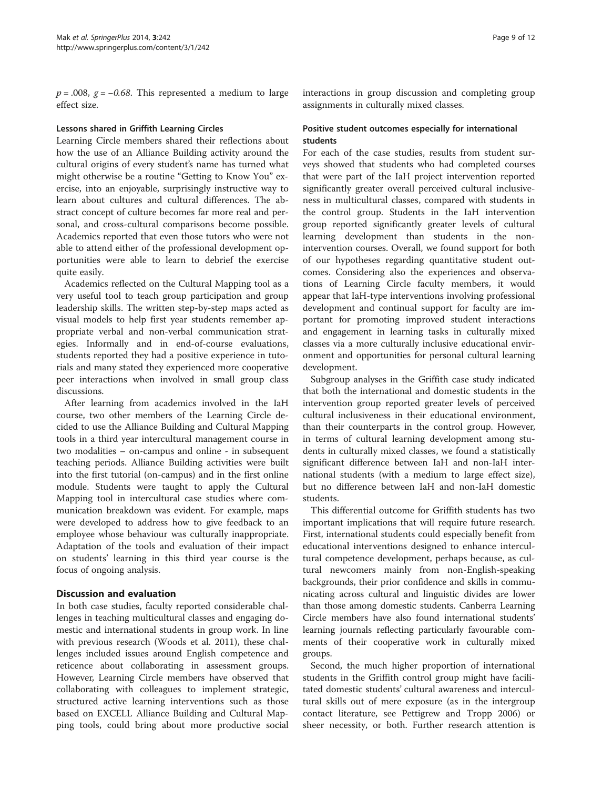<span id="page-8-0"></span> $p = .008$ ,  $g = -0.68$ . This represented a medium to large effect size.

#### Lessons shared in Griffith Learning Circles

Learning Circle members shared their reflections about how the use of an Alliance Building activity around the cultural origins of every student's name has turned what might otherwise be a routine "Getting to Know You" exercise, into an enjoyable, surprisingly instructive way to learn about cultures and cultural differences. The abstract concept of culture becomes far more real and personal, and cross-cultural comparisons become possible. Academics reported that even those tutors who were not able to attend either of the professional development opportunities were able to learn to debrief the exercise quite easily.

Academics reflected on the Cultural Mapping tool as a very useful tool to teach group participation and group leadership skills. The written step-by-step maps acted as visual models to help first year students remember appropriate verbal and non-verbal communication strategies. Informally and in end-of-course evaluations, students reported they had a positive experience in tutorials and many stated they experienced more cooperative peer interactions when involved in small group class discussions.

After learning from academics involved in the IaH course, two other members of the Learning Circle decided to use the Alliance Building and Cultural Mapping tools in a third year intercultural management course in two modalities – on-campus and online - in subsequent teaching periods. Alliance Building activities were built into the first tutorial (on-campus) and in the first online module. Students were taught to apply the Cultural Mapping tool in intercultural case studies where communication breakdown was evident. For example, maps were developed to address how to give feedback to an employee whose behaviour was culturally inappropriate. Adaptation of the tools and evaluation of their impact on students' learning in this third year course is the focus of ongoing analysis.

## Discussion and evaluation

In both case studies, faculty reported considerable challenges in teaching multicultural classes and engaging domestic and international students in group work. In line with previous research (Woods et al. [2011\)](#page-11-0), these challenges included issues around English competence and reticence about collaborating in assessment groups. However, Learning Circle members have observed that collaborating with colleagues to implement strategic, structured active learning interventions such as those based on EXCELL Alliance Building and Cultural Mapping tools, could bring about more productive social

interactions in group discussion and completing group assignments in culturally mixed classes.

## Positive student outcomes especially for international students

For each of the case studies, results from student surveys showed that students who had completed courses that were part of the IaH project intervention reported significantly greater overall perceived cultural inclusiveness in multicultural classes, compared with students in the control group. Students in the IaH intervention group reported significantly greater levels of cultural learning development than students in the nonintervention courses. Overall, we found support for both of our hypotheses regarding quantitative student outcomes. Considering also the experiences and observations of Learning Circle faculty members, it would appear that IaH-type interventions involving professional development and continual support for faculty are important for promoting improved student interactions and engagement in learning tasks in culturally mixed classes via a more culturally inclusive educational environment and opportunities for personal cultural learning development.

Subgroup analyses in the Griffith case study indicated that both the international and domestic students in the intervention group reported greater levels of perceived cultural inclusiveness in their educational environment, than their counterparts in the control group. However, in terms of cultural learning development among students in culturally mixed classes, we found a statistically significant difference between IaH and non-IaH international students (with a medium to large effect size), but no difference between IaH and non-IaH domestic students.

This differential outcome for Griffith students has two important implications that will require future research. First, international students could especially benefit from educational interventions designed to enhance intercultural competence development, perhaps because, as cultural newcomers mainly from non-English-speaking backgrounds, their prior confidence and skills in communicating across cultural and linguistic divides are lower than those among domestic students. Canberra Learning Circle members have also found international students' learning journals reflecting particularly favourable comments of their cooperative work in culturally mixed groups.

Second, the much higher proportion of international students in the Griffith control group might have facilitated domestic students' cultural awareness and intercultural skills out of mere exposure (as in the intergroup contact literature, see Pettigrew and Tropp [2006\)](#page-10-0) or sheer necessity, or both. Further research attention is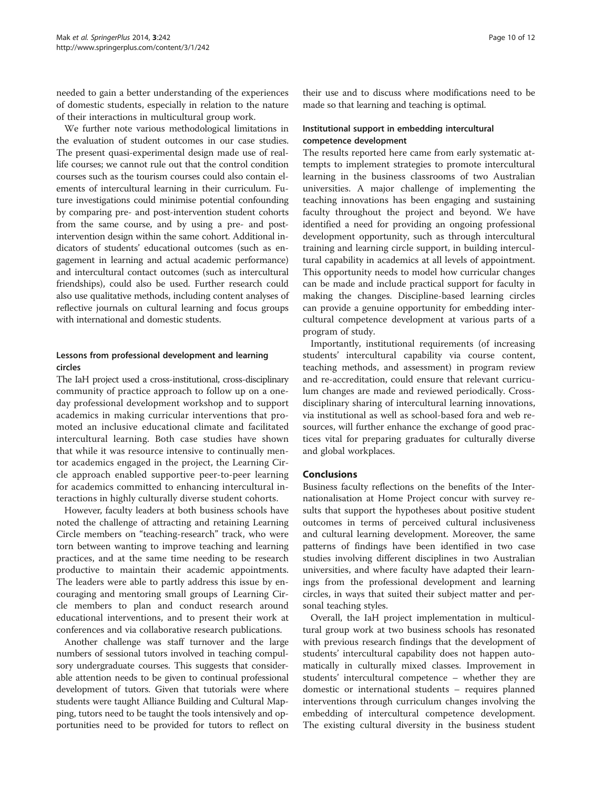needed to gain a better understanding of the experiences of domestic students, especially in relation to the nature of their interactions in multicultural group work.

We further note various methodological limitations in the evaluation of student outcomes in our case studies. The present quasi-experimental design made use of reallife courses; we cannot rule out that the control condition courses such as the tourism courses could also contain elements of intercultural learning in their curriculum. Future investigations could minimise potential confounding by comparing pre- and post-intervention student cohorts from the same course, and by using a pre- and postintervention design within the same cohort. Additional indicators of students' educational outcomes (such as engagement in learning and actual academic performance) and intercultural contact outcomes (such as intercultural friendships), could also be used. Further research could also use qualitative methods, including content analyses of reflective journals on cultural learning and focus groups with international and domestic students.

## Lessons from professional development and learning circles

The IaH project used a cross-institutional, cross-disciplinary community of practice approach to follow up on a oneday professional development workshop and to support academics in making curricular interventions that promoted an inclusive educational climate and facilitated intercultural learning. Both case studies have shown that while it was resource intensive to continually mentor academics engaged in the project, the Learning Circle approach enabled supportive peer-to-peer learning for academics committed to enhancing intercultural interactions in highly culturally diverse student cohorts.

However, faculty leaders at both business schools have noted the challenge of attracting and retaining Learning Circle members on "teaching-research" track, who were torn between wanting to improve teaching and learning practices, and at the same time needing to be research productive to maintain their academic appointments. The leaders were able to partly address this issue by encouraging and mentoring small groups of Learning Circle members to plan and conduct research around educational interventions, and to present their work at conferences and via collaborative research publications.

Another challenge was staff turnover and the large numbers of sessional tutors involved in teaching compulsory undergraduate courses. This suggests that considerable attention needs to be given to continual professional development of tutors. Given that tutorials were where students were taught Alliance Building and Cultural Mapping, tutors need to be taught the tools intensively and opportunities need to be provided for tutors to reflect on their use and to discuss where modifications need to be made so that learning and teaching is optimal.

## Institutional support in embedding intercultural competence development

The results reported here came from early systematic attempts to implement strategies to promote intercultural learning in the business classrooms of two Australian universities. A major challenge of implementing the teaching innovations has been engaging and sustaining faculty throughout the project and beyond. We have identified a need for providing an ongoing professional development opportunity, such as through intercultural training and learning circle support, in building intercultural capability in academics at all levels of appointment. This opportunity needs to model how curricular changes can be made and include practical support for faculty in making the changes. Discipline-based learning circles can provide a genuine opportunity for embedding intercultural competence development at various parts of a program of study.

Importantly, institutional requirements (of increasing students' intercultural capability via course content, teaching methods, and assessment) in program review and re-accreditation, could ensure that relevant curriculum changes are made and reviewed periodically. Crossdisciplinary sharing of intercultural learning innovations, via institutional as well as school-based fora and web resources, will further enhance the exchange of good practices vital for preparing graduates for culturally diverse and global workplaces.

## Conclusions

Business faculty reflections on the benefits of the Internationalisation at Home Project concur with survey results that support the hypotheses about positive student outcomes in terms of perceived cultural inclusiveness and cultural learning development. Moreover, the same patterns of findings have been identified in two case studies involving different disciplines in two Australian universities, and where faculty have adapted their learnings from the professional development and learning circles, in ways that suited their subject matter and personal teaching styles.

Overall, the IaH project implementation in multicultural group work at two business schools has resonated with previous research findings that the development of students' intercultural capability does not happen automatically in culturally mixed classes. Improvement in students' intercultural competence – whether they are domestic or international students – requires planned interventions through curriculum changes involving the embedding of intercultural competence development. The existing cultural diversity in the business student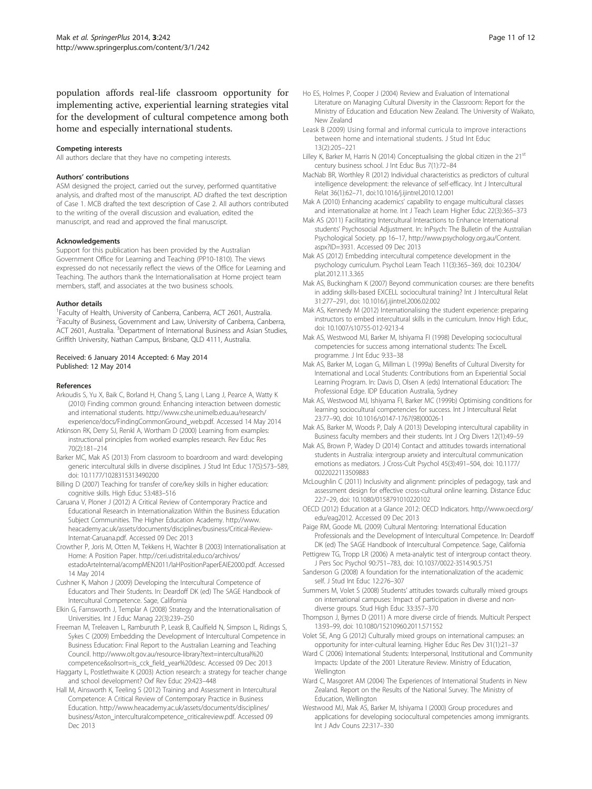<span id="page-10-0"></span>population affords real-life classroom opportunity for implementing active, experiential learning strategies vital for the development of cultural competence among both home and especially international students.

#### Competing interests

All authors declare that they have no competing interests.

#### Authors' contributions

ASM designed the project, carried out the survey, performed quantitative analysis, and drafted most of the manuscript. AD drafted the text description of Case 1. MCB drafted the text description of Case 2. All authors contributed to the writing of the overall discussion and evaluation, edited the manuscript, and read and approved the final manuscript.

#### Acknowledgements

Support for this publication has been provided by the Australian Government Office for Learning and Teaching (PP10-1810). The views expressed do not necessarily reflect the views of the Office for Learning and Teaching. The authors thank the Internationalisation at Home project team members, staff, and associates at the two business schools.

#### Author details

<sup>1</sup> Faculty of Health, University of Canberra, Canberra, ACT 2601, Australia. <sup>2</sup> Faculty of Business, Government and Law, University of Canberra, Canberra, ACT 2601, Australia. <sup>3</sup> Department of International Business and Asian Studies, Griffith University, Nathan Campus, Brisbane, QLD 4111, Australia.

#### Received: 6 January 2014 Accepted: 6 May 2014 Published: 12 May 2014

#### References

- Arkoudis S, Yu X, Baik C, Borland H, Chang S, Lang I, Lang J, Pearce A, Watty K (2010) Finding common ground: Enhancing interaction between domestic and international students. [http://www.cshe.unimelb.edu.au/research/](http://www.cshe.unimelb.edu.au/research/experience/docs/FindingCommonGround_web.pdf) [experience/docs/FindingCommonGround\\_web.pdf.](http://www.cshe.unimelb.edu.au/research/experience/docs/FindingCommonGround_web.pdf) Accessed 14 May 2014
- Atkinson RK, Derry SJ, Renkl A, Wortham D (2000) Learning from examples: instructional principles from worked examples research. Rev Educ Res 70(2):181–214
- Barker MC, Mak AS (2013) From classroom to boardroom and ward: developing generic intercultural skills in diverse disciplines. J Stud Int Educ 17(5):573–589, doi: 10.1177/1028315313490200
- Billing D (2007) Teaching for transfer of core/key skills in higher education: cognitive skills. High Educ 53:483–516
- Caruana V, Ploner J (2012) A Critical Review of Contemporary Practice and Educational Research in Internationalization Within the Business Education Subject Communities. The Higher Education Academy. [http://www.](http://www.heacademy.ac.uk/assets/documents/disciplines/business/Critical-Review-Internat-Caruana.pdf) [heacademy.ac.uk/assets/documents/disciplines/business/Critical-Review-](http://www.heacademy.ac.uk/assets/documents/disciplines/business/Critical-Review-Internat-Caruana.pdf)[Internat-Caruana.pdf.](http://www.heacademy.ac.uk/assets/documents/disciplines/business/Critical-Review-Internat-Caruana.pdf) Accessed 09 Dec 2013
- Crowther P, Joris M, Otten M, Tekkens H, Wachter B (2003) Internationalisation at Home: A Position Paper. [http://ceri.udistrital.edu.co/archivos/](http://ceri.udistrital.edu.co/archivos/estadoArteInternal/acompMEN2011/IaHPositionPaperEAIE2000.pdf) [estadoArteInternal/acompMEN2011/IaHPositionPaperEAIE2000.pdf.](http://ceri.udistrital.edu.co/archivos/estadoArteInternal/acompMEN2011/IaHPositionPaperEAIE2000.pdf) Accessed 14 May 2014
- Cushner K, Mahon J (2009) Developing the Intercultural Competence of Educators and Their Students. In: Deardoff DK (ed) The SAGE Handbook of Intercultural Competence. Sage, California
- Elkin G, Farnsworth J, Templar A (2008) Strategy and the Internationalisation of Universities. Int J Educ Manag 22(3):239–250
- Freeman M, Treleaven L, Ramburuth P, Leask B, Caulfield N, Simpson L, Ridings S, Sykes C (2009) Embedding the Development of Intercultural Competence in Business Education: Final Report to the Australian Learning and Teaching Council. [http://www.olt.gov.au/resource-library?text=intercultural%20](http://www.olt.gov.au/resource-library?text=intercultural%20 competence&solrsort=is_cck_field_year%20desc) [competence&solrsort=is\\_cck\\_field\\_year%20desc](http://www.olt.gov.au/resource-library?text=intercultural%20 competence&solrsort=is_cck_field_year%20desc). Accessed 09 Dec 2013
- Haggarty L, Postlethwaite K (2003) Action research: a strategy for teacher change and school development? Oxf Rev Educ 29:423–448
- Hall M, Ainsworth K, Teeling S (2012) Training and Assessment in Intercultural Competence: A Critical Review of Contemporary Practice in Business Education. [http://www.heacademy.ac.uk/assets/documents/disciplines/](http://www.heacademy.ac.uk/assets/documents/disciplines/ business/Aston_interculturalcompetence_criticalreview.pdf) [business/Aston\\_interculturalcompetence\\_criticalreview.pdf.](http://www.heacademy.ac.uk/assets/documents/disciplines/ business/Aston_interculturalcompetence_criticalreview.pdf) Accessed 09 Dec 2013
- Ho ES, Holmes P, Cooper J (2004) Review and Evaluation of International Literature on Managing Cultural Diversity in the Classroom: Report for the Ministry of Education and Education New Zealand. The University of Waikato, New Zealand
- Leask B (2009) Using formal and informal curricula to improve interactions between home and international students. J Stud Int Educ 13(2):205–221
- Lilley K, Barker M, Harris N (2014) Conceptualising the global citizen in the 21<sup>st</sup> century business school. J Int Educ Bus 7(1):72–84
- MacNab BR, Worthley R (2012) Individual characteristics as predictors of cultural intelligence development: the relevance of self-efficacy. Int J Intercultural Relat 36(1):62–71, doi:10.1016/j.ijintrel.2010.12.001
- Mak A (2010) Enhancing academics' capability to engage multicultural classes and internationalize at home. Int J Teach Learn Higher Educ 22(3):365–373
- Mak AS (2011) Facilitating Intercultural Interactions to Enhance International students' Psychosocial Adjustment. In: InPsych: The Bulletin of the Australian Psychological Society. pp 16–17, [http://www.psychology.org.au/Content.](http://www.psychology.org.au/Content.aspx?ID=3931) [aspx?ID=3931](http://www.psychology.org.au/Content.aspx?ID=3931). Accessed 09 Dec 2013
- Mak AS (2012) Embedding intercultural competence development in the psychology curriculum. Psychol Learn Teach 11(3):365–369, doi: 10.2304/ plat.2012.11.3.365
- Mak AS, Buckingham K (2007) Beyond communication courses: are there benefits in adding skills-based EXCELL sociocultural training? Int J Intercultural Relat 31:277–291, doi: 10.1016/j.ijintrel.2006.02.002
- Mak AS, Kennedy M (2012) Internationalising the student experience: preparing instructors to embed intercultural skills in the curriculum. Innov High Educ, doi: 10.1007/s10755-012-9213-4
- Mak AS, Westwood MJ, Barker M, Ishiyama FI (1998) Developing sociocultural competencies for success among international students: The ExcelL programme. J Int Educ 9:33–38
- Mak AS, Barker M, Logan G, Millman L (1999a) Benefits of Cultural Diversity for International and Local Students: Contributions from an Experiential Social Learning Program. In: Davis D, Olsen A (eds) International Education: The Professional Edge. IDP Education Australia, Sydney
- Mak AS, Westwood MJ, Ishiyama FI, Barker MC (1999b) Optimising conditions for learning sociocultural competencies for success. Int J Intercultural Relat 23:77–90, doi: 10.1016/s0147-1767(98)00026-1
- Mak AS, Barker M, Woods P, Daly A (2013) Developing intercultural capability in Business faculty members and their students. Int J Org Divers 12(1):49–59
- Mak AS, Brown P, Wadey D (2014) Contact and attitudes towards international students in Australia: intergroup anxiety and intercultural communication emotions as mediators. J Cross-Cult Psychol 45(3):491–504, doi: 10.1177/ 0022022113509883
- McLoughlin C (2011) Inclusivity and alignment: principles of pedagogy, task and assessment design for effective cross-cultural online learning. Distance Educ 22:7–29, doi: 10.1080/0158791010220102
- OECD (2012) Education at a Glance 2012: OECD Indicators. [http://www.oecd.org/](http://www.oecd.org/edu/eag2012) [edu/eag2012](http://www.oecd.org/edu/eag2012). Accessed 09 Dec 2013
- Paige RM, Goode ML (2009) Cultural Mentoring: International Education Professionals and the Development of Intercultural Competence. In: Deardoff DK (ed) The SAGE Handbook of Intercultural Competence. Sage, California
- Pettigrew TG, Tropp LR (2006) A meta-analytic test of intergroup contact theory. J Pers Soc Psychol 90:751–783, doi: 10.1037/0022-3514.90.5.751
- Sanderson G (2008) A foundation for the internationalization of the academic self. J Stud Int Educ 12:276–307
- Summers M, Volet S (2008) Students' attitudes towards culturally mixed groups on international campuses: Impact of participation in diverse and nondiverse groups. Stud High Educ 33:357–370
- Thompson J, Byrnes D (2011) A more diverse circle of friends. Multicult Perspect 13:93–99, doi: 10.1080/15210960.2011.571552
- Volet SE, Ang G (2012) Culturally mixed groups on international campuses: an opportunity for inter-cultural learning. Higher Educ Res Dev 31(1):21–37
- Ward C (2006) International Students: Interpersonal, Institutional and Community Impacts: Update of the 2001 Literature Review. Ministry of Education, Wellington
- Ward C, Masgoret AM (2004) The Experiences of International Students in New Zealand. Report on the Results of the National Survey. The Ministry of Education, Wellington
- Westwood MJ, Mak AS, Barker M, Ishiyama I (2000) Group procedures and applications for developing sociocultural competencies among immigrants. Int J Adv Couns 22:317–330